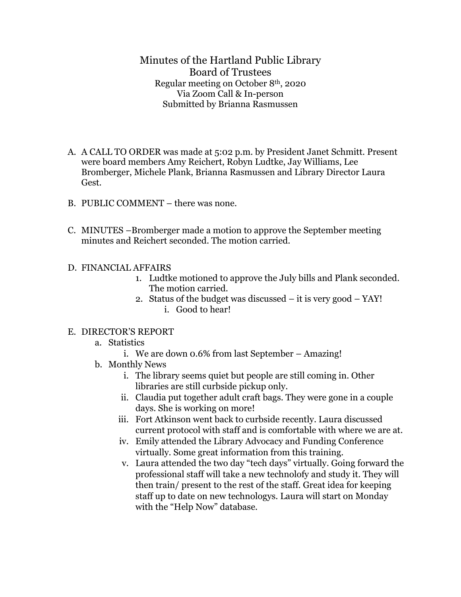Minutes of the Hartland Public Library Board of Trustees Regular meeting on October 8th, 2020 Via Zoom Call & In-person Submitted by Brianna Rasmussen

- A. A CALL TO ORDER was made at 5:02 p.m. by President Janet Schmitt. Present were board members Amy Reichert, Robyn Ludtke, Jay Williams, Lee Bromberger, Michele Plank, Brianna Rasmussen and Library Director Laura Gest.
- B. PUBLIC COMMENT there was none.
- C. MINUTES –Bromberger made a motion to approve the September meeting minutes and Reichert seconded. The motion carried.
- D. FINANCIAL AFFAIRS
	- 1. Ludtke motioned to approve the July bills and Plank seconded. The motion carried.
	- 2. Status of the budget was discussed it is very good YAY! i. Good to hear!

## E. DIRECTOR'S REPORT

- a. Statistics
	- i. We are down 0.6% from last September Amazing!
- b. Monthly News
	- i. The library seems quiet but people are still coming in. Other libraries are still curbside pickup only.
	- ii. Claudia put together adult craft bags. They were gone in a couple days. She is working on more!
	- iii. Fort Atkinson went back to curbside recently. Laura discussed current protocol with staff and is comfortable with where we are at.
	- iv. Emily attended the Library Advocacy and Funding Conference virtually. Some great information from this training.
	- v. Laura attended the two day "tech days" virtually. Going forward the professional staff will take a new technolofy and study it. They will then train/ present to the rest of the staff. Great idea for keeping staff up to date on new technologys. Laura will start on Monday with the "Help Now" database.